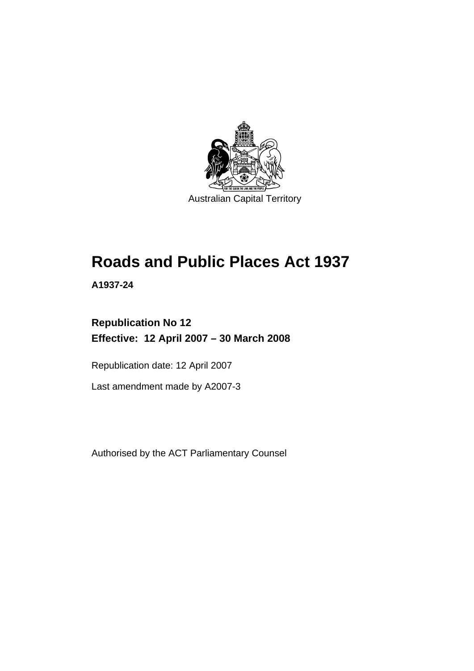

# **[Roads and Public Places Act 1937](#page-6-0)**

**A1937-24** 

## **Republication No 12 Effective: 12 April 2007 – 30 March 2008**

Republication date: 12 April 2007

Last amendment made by A2007-3

Authorised by the ACT Parliamentary Counsel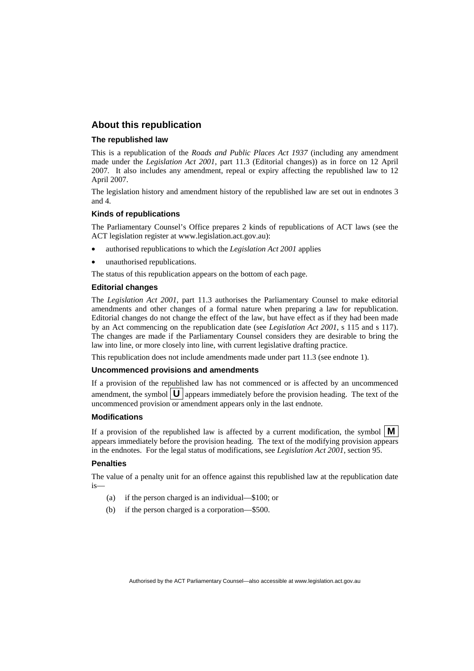## **About this republication**

#### **The republished law**

This is a republication of the *Roads and Public Places Act 1937* (including any amendment made under the *Legislation Act 2001*, part 11.3 (Editorial changes)) as in force on 12 April 2007*.* It also includes any amendment, repeal or expiry affecting the republished law to 12 April 2007.

The legislation history and amendment history of the republished law are set out in endnotes 3 and 4.

#### **Kinds of republications**

The Parliamentary Counsel's Office prepares 2 kinds of republications of ACT laws (see the ACT legislation register at www.legislation.act.gov.au):

- authorised republications to which the *Legislation Act 2001* applies
- unauthorised republications.

The status of this republication appears on the bottom of each page.

#### **Editorial changes**

The *Legislation Act 2001*, part 11.3 authorises the Parliamentary Counsel to make editorial amendments and other changes of a formal nature when preparing a law for republication. Editorial changes do not change the effect of the law, but have effect as if they had been made by an Act commencing on the republication date (see *Legislation Act 2001*, s 115 and s 117). The changes are made if the Parliamentary Counsel considers they are desirable to bring the law into line, or more closely into line, with current legislative drafting practice.

This republication does not include amendments made under part 11.3 (see endnote 1).

#### **Uncommenced provisions and amendments**

If a provision of the republished law has not commenced or is affected by an uncommenced amendment, the symbol  $\mathbf{U}$  appears immediately before the provision heading. The text of the uncommenced provision or amendment appears only in the last endnote.

#### **Modifications**

If a provision of the republished law is affected by a current modification, the symbol  $\mathbf{M}$ appears immediately before the provision heading. The text of the modifying provision appears in the endnotes. For the legal status of modifications, see *Legislation Act 2001*, section 95.

#### **Penalties**

The value of a penalty unit for an offence against this republished law at the republication date is—

- (a) if the person charged is an individual—\$100; or
- (b) if the person charged is a corporation—\$500.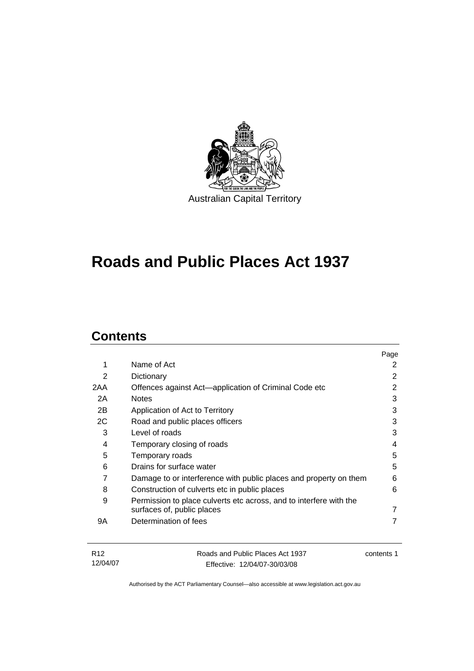

# **[Roads and Public Places Act 1937](#page-6-0)**

## **Contents**

|                                                                    | Page |
|--------------------------------------------------------------------|------|
| Name of Act                                                        | 2    |
| Dictionary                                                         | 2    |
| Offences against Act—application of Criminal Code etc              | 2    |
| <b>Notes</b>                                                       | 3    |
| Application of Act to Territory                                    | 3    |
| Road and public places officers                                    | 3    |
| Level of roads                                                     | 3    |
| Temporary closing of roads                                         | 4    |
| Temporary roads                                                    | 5    |
| Drains for surface water                                           | 5    |
| Damage to or interference with public places and property on them  | 6    |
| Construction of culverts etc in public places                      | 6    |
| Permission to place culverts etc across, and to interfere with the |      |
| surfaces of, public places                                         | 7    |
| Determination of fees                                              | 7    |
|                                                                    |      |
|                                                                    |      |

| - R12    | Roads and Public Places Act 1937 | contents 1 |
|----------|----------------------------------|------------|
| 12/04/07 | Effective: 12/04/07-30/03/08     |            |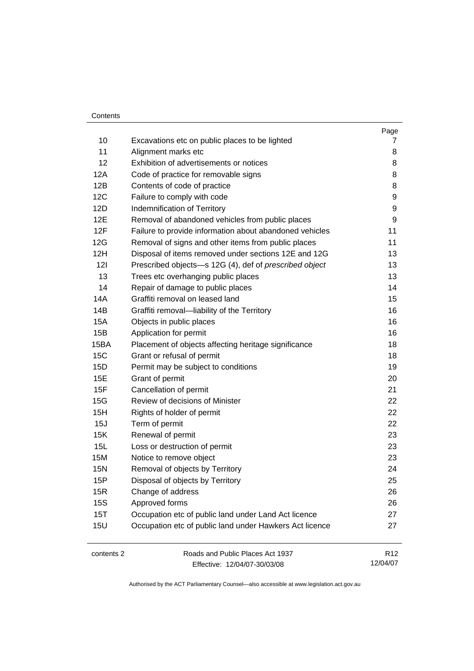#### Contents

|            |                                                         | Page |
|------------|---------------------------------------------------------|------|
| 10         | Excavations etc on public places to be lighted          | 7    |
| 11         | Alignment marks etc                                     | 8    |
| 12         | Exhibition of advertisements or notices                 | 8    |
| 12A        | Code of practice for removable signs                    | 8    |
| 12B        | Contents of code of practice                            | 8    |
| 12C        | Failure to comply with code                             | 9    |
| 12D        | Indemnification of Territory                            | 9    |
| 12E        | Removal of abandoned vehicles from public places        | 9    |
| 12F        | Failure to provide information about abandoned vehicles | 11   |
| 12G        | Removal of signs and other items from public places     | 11   |
| 12H        | Disposal of items removed under sections 12E and 12G    | 13   |
| 121        | Prescribed objects-s 12G (4), def of prescribed object  | 13   |
| 13         | Trees etc overhanging public places                     | 13   |
| 14         | Repair of damage to public places                       | 14   |
| 14A        | Graffiti removal on leased land                         | 15   |
| 14B        | Graffiti removal-liability of the Territory             | 16   |
| <b>15A</b> | Objects in public places                                | 16   |
| 15B        | Application for permit                                  | 16   |
| 15BA       | Placement of objects affecting heritage significance    | 18   |
| 15C        | Grant or refusal of permit                              | 18   |
| 15D        | Permit may be subject to conditions                     | 19   |
| 15E        | Grant of permit                                         | 20   |
| 15F        | Cancellation of permit                                  | 21   |
| 15G        | Review of decisions of Minister                         | 22   |
| 15H        | Rights of holder of permit                              | 22   |
| 15J        | Term of permit                                          | 22   |
| 15K        | Renewal of permit                                       | 23   |
| 15L        | Loss or destruction of permit                           | 23   |
| 15M        | Notice to remove object                                 | 23   |
| <b>15N</b> | Removal of objects by Territory                         | 24   |
| 15P        | Disposal of objects by Territory                        | 25   |
| 15R        | Change of address                                       | 26   |
| <b>15S</b> | Approved forms                                          | 26   |
| 15T        | Occupation etc of public land under Land Act licence    | 27   |
| <b>15U</b> | Occupation etc of public land under Hawkers Act licence | 27   |
| contents 2 | Roads and Public Places Act 1937                        | R12  |
|            |                                                         |      |

Effective: 12/04/07-30/03/08

12/04/07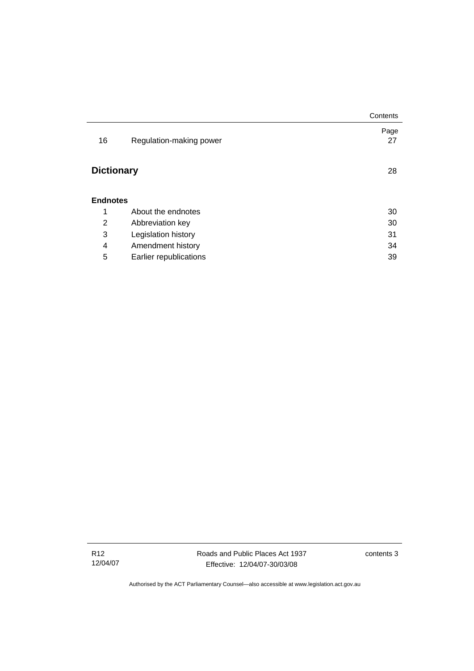|                   |                         | Contents   |
|-------------------|-------------------------|------------|
| 16                | Regulation-making power | Page<br>27 |
| <b>Dictionary</b> |                         | 28         |
| <b>Endnotes</b>   |                         |            |
| 1                 | About the endnotes      | 30         |
| 2                 | Abbreviation key        | 30         |
| 3                 | Legislation history     | 31         |
| 4                 | Amendment history       | 34         |
| 5                 | Earlier republications  | 39         |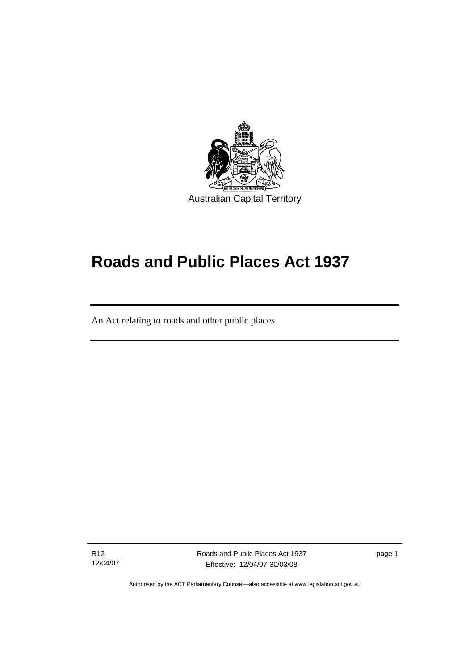<span id="page-6-0"></span>

# **Roads and Public Places Act 1937**

An Act relating to roads and other public places

R12 12/04/07

l

Roads and Public Places Act 1937 Effective: 12/04/07-30/03/08

page 1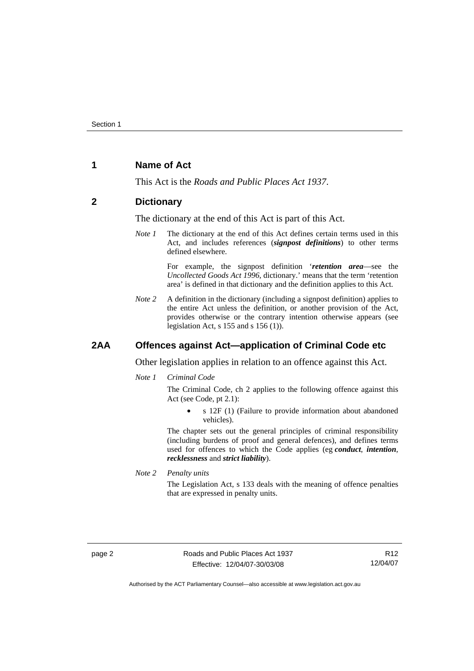## <span id="page-7-0"></span>**1 Name of Act**

This Act is the *Roads and Public Places Act 1937*.

#### **2 Dictionary**

The dictionary at the end of this Act is part of this Act.

*Note 1* The dictionary at the end of this Act defines certain terms used in this Act, and includes references (*signpost definitions*) to other terms defined elsewhere.

> For example, the signpost definition '*retention area*—see the *Uncollected Goods Act 1996*, dictionary.' means that the term 'retention area' is defined in that dictionary and the definition applies to this Act.

*Note* 2 A definition in the dictionary (including a signpost definition) applies to the entire Act unless the definition, or another provision of the Act, provides otherwise or the contrary intention otherwise appears (see legislation Act, s 155 and s 156 (1)).

## **2AA Offences against Act—application of Criminal Code etc**

Other legislation applies in relation to an offence against this Act.

*Note 1 Criminal Code*

The Criminal Code, ch 2 applies to the following offence against this Act (see Code, pt 2.1):

• s 12F (1) (Failure to provide information about abandoned vehicles).

The chapter sets out the general principles of criminal responsibility (including burdens of proof and general defences), and defines terms used for offences to which the Code applies (eg *conduct*, *intention*, *recklessness* and *strict liability*).

*Note 2 Penalty units*  The Legislation Act, s 133 deals with the meaning of offence penalties that are expressed in penalty units.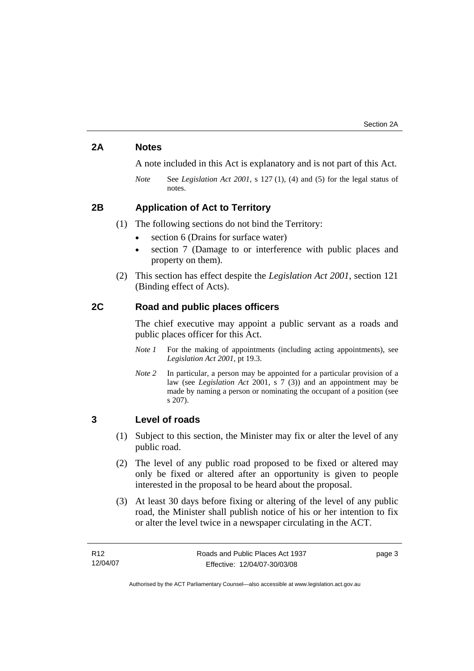## <span id="page-8-0"></span>**2A Notes**

A note included in this Act is explanatory and is not part of this Act.

*Note* See *Legislation Act 2001*, s 127 (1), (4) and (5) for the legal status of notes.

## **2B Application of Act to Territory**

(1) The following sections do not bind the Territory:

- section 6 (Drains for surface water)
- section 7 (Damage to or interference with public places and property on them).
- (2) This section has effect despite the *Legislation Act 2001*, section 121 (Binding effect of Acts).

### **2C Road and public places officers**

The chief executive may appoint a public servant as a roads and public places officer for this Act.

- *Note 1* For the making of appointments (including acting appointments), see *Legislation Act 2001*, pt 19.3.
- *Note 2* In particular, a person may be appointed for a particular provision of a law (see *Legislation Act* 2001, s 7 (3)) and an appointment may be made by naming a person or nominating the occupant of a position (see s 207).

#### **3 Level of roads**

- (1) Subject to this section, the Minister may fix or alter the level of any public road.
- (2) The level of any public road proposed to be fixed or altered may only be fixed or altered after an opportunity is given to people interested in the proposal to be heard about the proposal.
- (3) At least 30 days before fixing or altering of the level of any public road, the Minister shall publish notice of his or her intention to fix or alter the level twice in a newspaper circulating in the ACT.

| R12      | Roads and Public Places Act 1937 | page 3 |
|----------|----------------------------------|--------|
| 12/04/07 | Effective: 12/04/07-30/03/08     |        |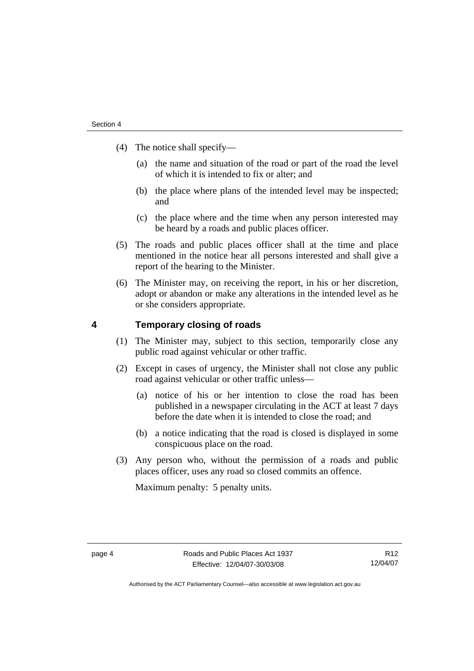- <span id="page-9-0"></span> (4) The notice shall specify—
	- (a) the name and situation of the road or part of the road the level of which it is intended to fix or alter; and
	- (b) the place where plans of the intended level may be inspected; and
	- (c) the place where and the time when any person interested may be heard by a roads and public places officer.
- (5) The roads and public places officer shall at the time and place mentioned in the notice hear all persons interested and shall give a report of the hearing to the Minister.
- (6) The Minister may, on receiving the report, in his or her discretion, adopt or abandon or make any alterations in the intended level as he or she considers appropriate.

### **4 Temporary closing of roads**

- (1) The Minister may, subject to this section, temporarily close any public road against vehicular or other traffic.
- (2) Except in cases of urgency, the Minister shall not close any public road against vehicular or other traffic unless—
	- (a) notice of his or her intention to close the road has been published in a newspaper circulating in the ACT at least 7 days before the date when it is intended to close the road; and
	- (b) a notice indicating that the road is closed is displayed in some conspicuous place on the road.
- (3) Any person who, without the permission of a roads and public places officer, uses any road so closed commits an offence.

Maximum penalty: 5 penalty units.

R12 12/04/07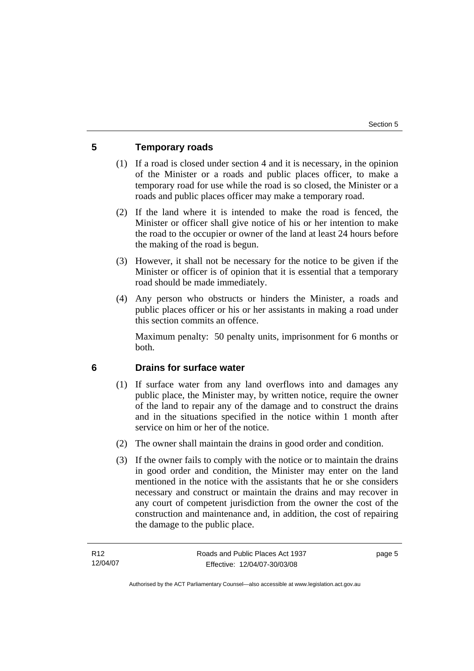## <span id="page-10-0"></span>**5 Temporary roads**

- (1) If a road is closed under section 4 and it is necessary, in the opinion of the Minister or a roads and public places officer, to make a temporary road for use while the road is so closed, the Minister or a roads and public places officer may make a temporary road.
- (2) If the land where it is intended to make the road is fenced, the Minister or officer shall give notice of his or her intention to make the road to the occupier or owner of the land at least 24 hours before the making of the road is begun.
- (3) However, it shall not be necessary for the notice to be given if the Minister or officer is of opinion that it is essential that a temporary road should be made immediately.
- (4) Any person who obstructs or hinders the Minister, a roads and public places officer or his or her assistants in making a road under this section commits an offence.

Maximum penalty: 50 penalty units, imprisonment for 6 months or both.

## **6 Drains for surface water**

- (1) If surface water from any land overflows into and damages any public place, the Minister may, by written notice, require the owner of the land to repair any of the damage and to construct the drains and in the situations specified in the notice within 1 month after service on him or her of the notice.
- (2) The owner shall maintain the drains in good order and condition.
- (3) If the owner fails to comply with the notice or to maintain the drains in good order and condition, the Minister may enter on the land mentioned in the notice with the assistants that he or she considers necessary and construct or maintain the drains and may recover in any court of competent jurisdiction from the owner the cost of the construction and maintenance and, in addition, the cost of repairing the damage to the public place.

page 5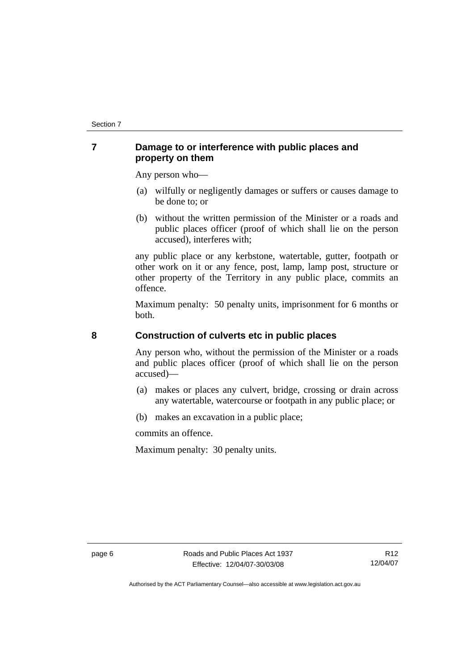## <span id="page-11-0"></span>**7 Damage to or interference with public places and property on them**

Any person who—

- (a) wilfully or negligently damages or suffers or causes damage to be done to; or
- (b) without the written permission of the Minister or a roads and public places officer (proof of which shall lie on the person accused), interferes with;

any public place or any kerbstone, watertable, gutter, footpath or other work on it or any fence, post, lamp, lamp post, structure or other property of the Territory in any public place, commits an offence.

Maximum penalty: 50 penalty units, imprisonment for 6 months or both.

## **8 Construction of culverts etc in public places**

Any person who, without the permission of the Minister or a roads and public places officer (proof of which shall lie on the person accused)—

- (a) makes or places any culvert, bridge, crossing or drain across any watertable, watercourse or footpath in any public place; or
- (b) makes an excavation in a public place;

commits an offence.

Maximum penalty: 30 penalty units.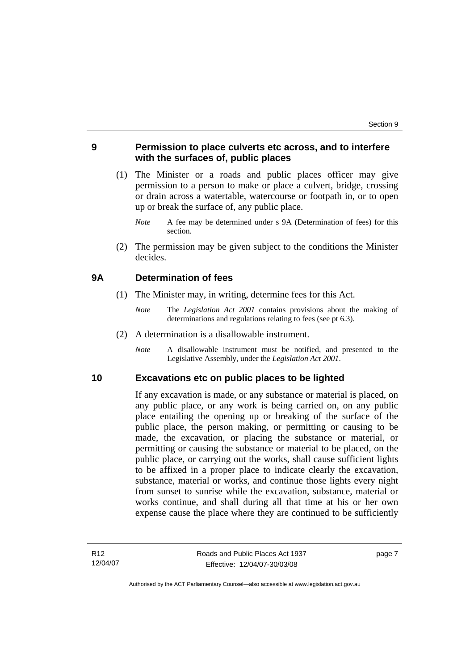## <span id="page-12-0"></span>**9 Permission to place culverts etc across, and to interfere with the surfaces of, public places**

- (1) The Minister or a roads and public places officer may give permission to a person to make or place a culvert, bridge, crossing or drain across a watertable, watercourse or footpath in, or to open up or break the surface of, any public place.
	- *Note* A fee may be determined under s 9A (Determination of fees) for this section.
- (2) The permission may be given subject to the conditions the Minister decides.

#### **9A Determination of fees**

- (1) The Minister may, in writing, determine fees for this Act.
	- *Note* The *Legislation Act 2001* contains provisions about the making of determinations and regulations relating to fees (see pt 6.3).
- (2) A determination is a disallowable instrument.
	- *Note* A disallowable instrument must be notified, and presented to the Legislative Assembly, under the *Legislation Act 2001*.

#### **10 Excavations etc on public places to be lighted**

If any excavation is made, or any substance or material is placed, on any public place, or any work is being carried on, on any public place entailing the opening up or breaking of the surface of the public place, the person making, or permitting or causing to be made, the excavation, or placing the substance or material, or permitting or causing the substance or material to be placed, on the public place, or carrying out the works, shall cause sufficient lights to be affixed in a proper place to indicate clearly the excavation, substance, material or works, and continue those lights every night from sunset to sunrise while the excavation, substance, material or works continue, and shall during all that time at his or her own expense cause the place where they are continued to be sufficiently

page 7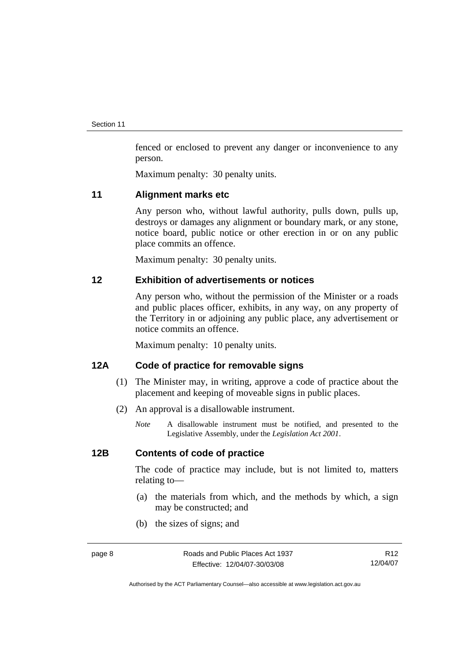<span id="page-13-0"></span>fenced or enclosed to prevent any danger or inconvenience to any person.

Maximum penalty: 30 penalty units.

#### **11 Alignment marks etc**

Any person who, without lawful authority, pulls down, pulls up, destroys or damages any alignment or boundary mark, or any stone, notice board, public notice or other erection in or on any public place commits an offence.

Maximum penalty: 30 penalty units.

#### **12 Exhibition of advertisements or notices**

Any person who, without the permission of the Minister or a roads and public places officer, exhibits, in any way, on any property of the Territory in or adjoining any public place, any advertisement or notice commits an offence.

Maximum penalty: 10 penalty units.

## **12A Code of practice for removable signs**

- (1) The Minister may, in writing, approve a code of practice about the placement and keeping of moveable signs in public places.
- (2) An approval is a disallowable instrument.
	- *Note* A disallowable instrument must be notified, and presented to the Legislative Assembly, under the *Legislation Act 2001*.

## **12B Contents of code of practice**

The code of practice may include, but is not limited to, matters relating to—

- (a) the materials from which, and the methods by which, a sign may be constructed; and
- (b) the sizes of signs; and

R12 12/04/07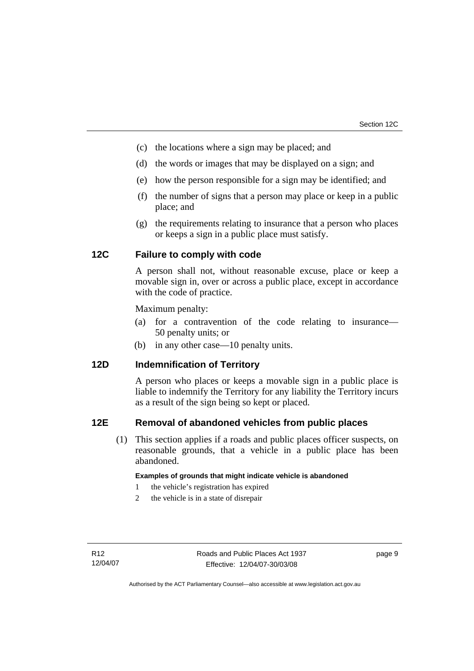- <span id="page-14-0"></span>(c) the locations where a sign may be placed; and
- (d) the words or images that may be displayed on a sign; and
- (e) how the person responsible for a sign may be identified; and
- (f) the number of signs that a person may place or keep in a public place; and
- (g) the requirements relating to insurance that a person who places or keeps a sign in a public place must satisfy.

## **12C Failure to comply with code**

A person shall not, without reasonable excuse, place or keep a movable sign in, over or across a public place, except in accordance with the code of practice.

Maximum penalty:

- (a) for a contravention of the code relating to insurance— 50 penalty units; or
- (b) in any other case—10 penalty units.

## **12D Indemnification of Territory**

A person who places or keeps a movable sign in a public place is liable to indemnify the Territory for any liability the Territory incurs as a result of the sign being so kept or placed.

#### **12E Removal of abandoned vehicles from public places**

 (1) This section applies if a roads and public places officer suspects, on reasonable grounds, that a vehicle in a public place has been abandoned.

#### **Examples of grounds that might indicate vehicle is abandoned**

- 1 the vehicle's registration has expired
- 2 the vehicle is in a state of disrepair

page 9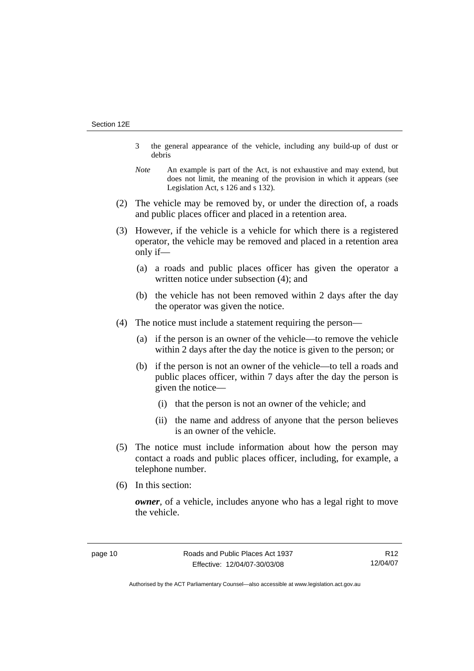- 3 the general appearance of the vehicle, including any build-up of dust or debris
- *Note* An example is part of the Act, is not exhaustive and may extend, but does not limit, the meaning of the provision in which it appears (see Legislation Act, s 126 and s 132).
- (2) The vehicle may be removed by, or under the direction of, a roads and public places officer and placed in a retention area.
- (3) However, if the vehicle is a vehicle for which there is a registered operator, the vehicle may be removed and placed in a retention area only if—
	- (a) a roads and public places officer has given the operator a written notice under subsection (4); and
	- (b) the vehicle has not been removed within 2 days after the day the operator was given the notice.
- (4) The notice must include a statement requiring the person—
	- (a) if the person is an owner of the vehicle—to remove the vehicle within 2 days after the day the notice is given to the person; or
	- (b) if the person is not an owner of the vehicle—to tell a roads and public places officer, within 7 days after the day the person is given the notice—
		- (i) that the person is not an owner of the vehicle; and
		- (ii) the name and address of anyone that the person believes is an owner of the vehicle.
- (5) The notice must include information about how the person may contact a roads and public places officer, including, for example, a telephone number.
- (6) In this section:

*owner*, of a vehicle, includes anyone who has a legal right to move the vehicle.

R12 12/04/07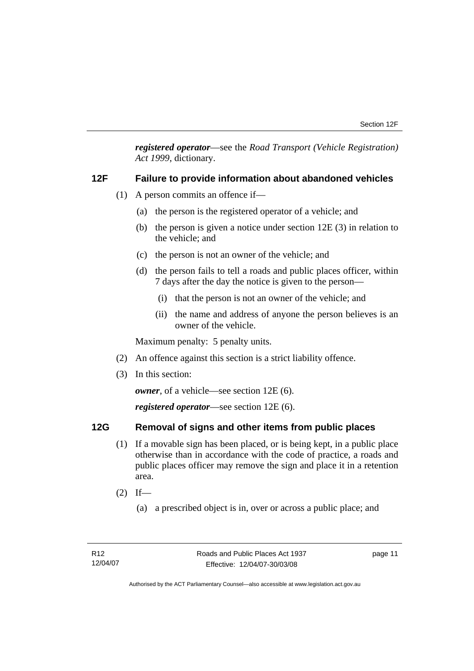<span id="page-16-0"></span>*registered operator*—see the *Road Transport (Vehicle Registration) Act 1999*, dictionary.

#### **12F Failure to provide information about abandoned vehicles**

- (1) A person commits an offence if—
	- (a) the person is the registered operator of a vehicle; and
	- (b) the person is given a notice under section 12E (3) in relation to the vehicle; and
	- (c) the person is not an owner of the vehicle; and
	- (d) the person fails to tell a roads and public places officer, within 7 days after the day the notice is given to the person—
		- (i) that the person is not an owner of the vehicle; and
		- (ii) the name and address of anyone the person believes is an owner of the vehicle.

Maximum penalty: 5 penalty units.

- (2) An offence against this section is a strict liability offence.
- (3) In this section:

*owner*, of a vehicle—see section 12E (6).

*registered operator*—see section 12E (6).

## **12G Removal of signs and other items from public places**

- (1) If a movable sign has been placed, or is being kept, in a public place otherwise than in accordance with the code of practice, a roads and public places officer may remove the sign and place it in a retention area.
- $(2)$  If—
	- (a) a prescribed object is in, over or across a public place; and

page 11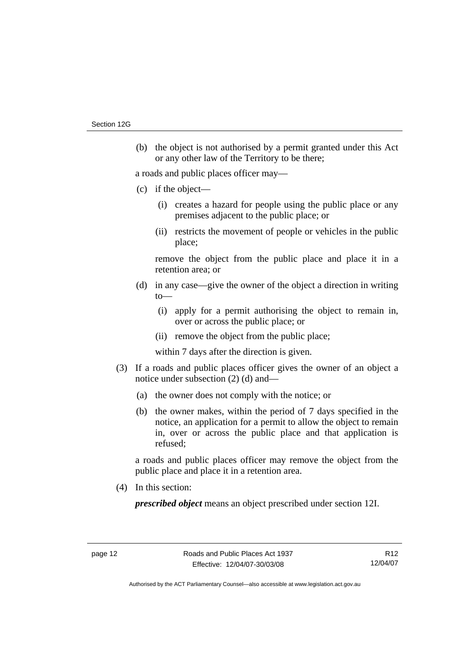(b) the object is not authorised by a permit granted under this Act or any other law of the Territory to be there;

a roads and public places officer may—

- (c) if the object—
	- (i) creates a hazard for people using the public place or any premises adjacent to the public place; or
	- (ii) restricts the movement of people or vehicles in the public place;

remove the object from the public place and place it in a retention area; or

- (d) in any case—give the owner of the object a direction in writing  $to$ —
	- (i) apply for a permit authorising the object to remain in, over or across the public place; or
	- (ii) remove the object from the public place;

within 7 days after the direction is given.

- (3) If a roads and public places officer gives the owner of an object a notice under subsection (2) (d) and—
	- (a) the owner does not comply with the notice; or
	- (b) the owner makes, within the period of 7 days specified in the notice, an application for a permit to allow the object to remain in, over or across the public place and that application is refused;

a roads and public places officer may remove the object from the public place and place it in a retention area.

(4) In this section:

*prescribed object* means an object prescribed under section 12I.

R12 12/04/07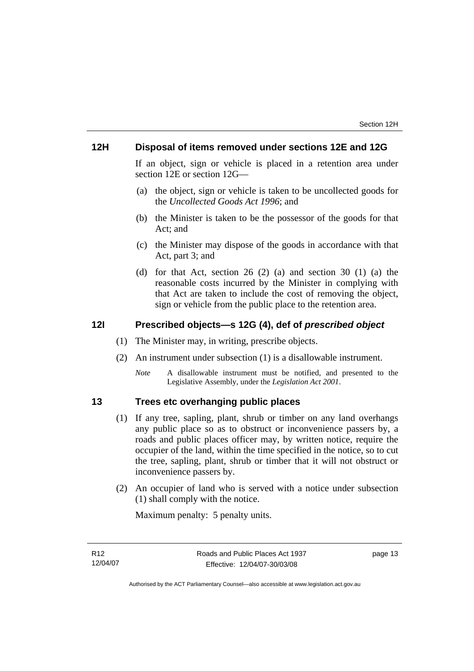## <span id="page-18-0"></span>**12H Disposal of items removed under sections 12E and 12G**

If an object, sign or vehicle is placed in a retention area under section 12E or section 12G—

- (a) the object, sign or vehicle is taken to be uncollected goods for the *Uncollected Goods Act 1996*; and
- (b) the Minister is taken to be the possessor of the goods for that Act; and
- (c) the Minister may dispose of the goods in accordance with that Act, part 3; and
- (d) for that Act, section 26 (2) (a) and section 30 (1) (a) the reasonable costs incurred by the Minister in complying with that Act are taken to include the cost of removing the object, sign or vehicle from the public place to the retention area.

#### **12I Prescribed objects—s 12G (4), def of** *prescribed object*

- (1) The Minister may, in writing, prescribe objects.
- (2) An instrument under subsection (1) is a disallowable instrument.
	- *Note* A disallowable instrument must be notified, and presented to the Legislative Assembly, under the *Legislation Act 2001*.

## **13 Trees etc overhanging public places**

- (1) If any tree, sapling, plant, shrub or timber on any land overhangs any public place so as to obstruct or inconvenience passers by, a roads and public places officer may, by written notice, require the occupier of the land, within the time specified in the notice, so to cut the tree, sapling, plant, shrub or timber that it will not obstruct or inconvenience passers by.
- (2) An occupier of land who is served with a notice under subsection (1) shall comply with the notice.

Maximum penalty: 5 penalty units.

page 13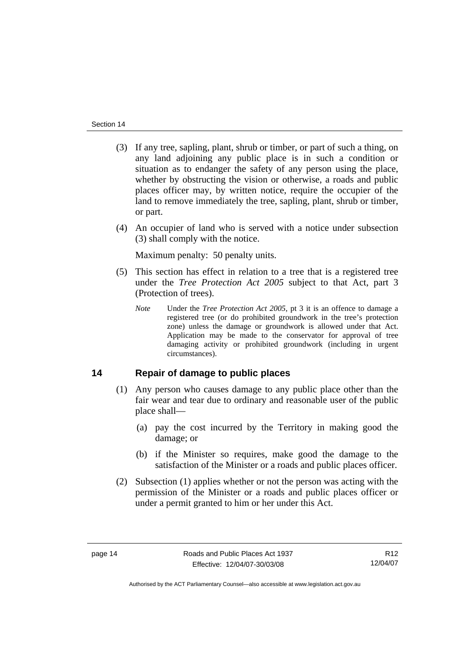- <span id="page-19-0"></span> (3) If any tree, sapling, plant, shrub or timber, or part of such a thing, on any land adjoining any public place is in such a condition or situation as to endanger the safety of any person using the place, whether by obstructing the vision or otherwise, a roads and public places officer may, by written notice, require the occupier of the land to remove immediately the tree, sapling, plant, shrub or timber, or part.
- (4) An occupier of land who is served with a notice under subsection (3) shall comply with the notice.

Maximum penalty: 50 penalty units.

- (5) This section has effect in relation to a tree that is a registered tree under the *Tree Protection Act 2005* subject to that Act, part 3 (Protection of trees).
	- *Note* Under the *Tree Protection Act 2005*, pt 3 it is an offence to damage a registered tree (or do prohibited groundwork in the tree's protection zone) unless the damage or groundwork is allowed under that Act. Application may be made to the conservator for approval of tree damaging activity or prohibited groundwork (including in urgent circumstances).

## **14 Repair of damage to public places**

- (1) Any person who causes damage to any public place other than the fair wear and tear due to ordinary and reasonable user of the public place shall—
	- (a) pay the cost incurred by the Territory in making good the damage; or
	- (b) if the Minister so requires, make good the damage to the satisfaction of the Minister or a roads and public places officer.
- (2) Subsection (1) applies whether or not the person was acting with the permission of the Minister or a roads and public places officer or under a permit granted to him or her under this Act.

R12 12/04/07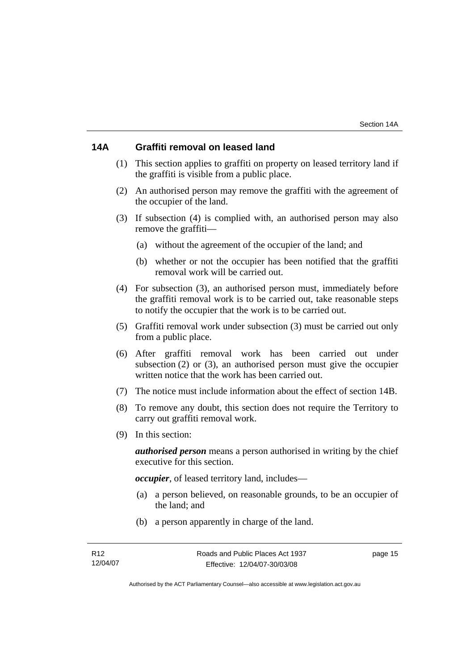## <span id="page-20-0"></span>**14A Graffiti removal on leased land**

- (1) This section applies to graffiti on property on leased territory land if the graffiti is visible from a public place.
- (2) An authorised person may remove the graffiti with the agreement of the occupier of the land.
- (3) If subsection (4) is complied with, an authorised person may also remove the graffiti—
	- (a) without the agreement of the occupier of the land; and
	- (b) whether or not the occupier has been notified that the graffiti removal work will be carried out.
- (4) For subsection (3), an authorised person must, immediately before the graffiti removal work is to be carried out, take reasonable steps to notify the occupier that the work is to be carried out.
- (5) Graffiti removal work under subsection (3) must be carried out only from a public place.
- (6) After graffiti removal work has been carried out under subsection (2) or (3), an authorised person must give the occupier written notice that the work has been carried out.
- (7) The notice must include information about the effect of section 14B.
- (8) To remove any doubt, this section does not require the Territory to carry out graffiti removal work.
- (9) In this section:

*authorised person* means a person authorised in writing by the chief executive for this section.

*occupier*, of leased territory land, includes—

- (a) a person believed, on reasonable grounds, to be an occupier of the land; and
- (b) a person apparently in charge of the land.

page 15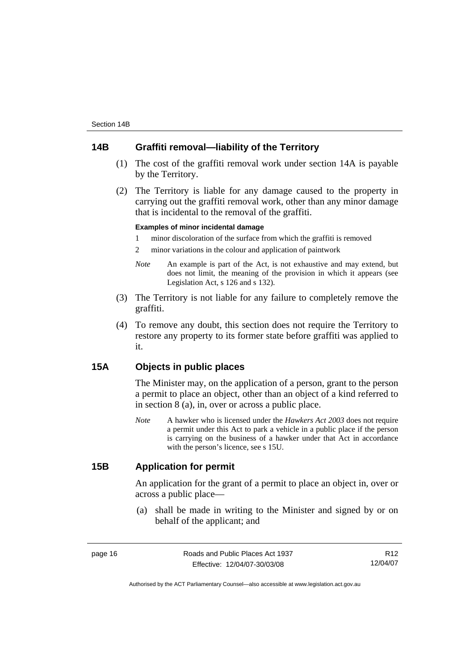## <span id="page-21-0"></span>**14B Graffiti removal—liability of the Territory**

- (1) The cost of the graffiti removal work under section 14A is payable by the Territory.
- (2) The Territory is liable for any damage caused to the property in carrying out the graffiti removal work, other than any minor damage that is incidental to the removal of the graffiti.

#### **Examples of minor incidental damage**

1 minor discoloration of the surface from which the graffiti is removed

2 minor variations in the colour and application of paintwork

- *Note* An example is part of the Act, is not exhaustive and may extend, but does not limit, the meaning of the provision in which it appears (see Legislation Act, s 126 and s 132).
- (3) The Territory is not liable for any failure to completely remove the graffiti.
- (4) To remove any doubt, this section does not require the Territory to restore any property to its former state before graffiti was applied to it.

## **15A Objects in public places**

The Minister may, on the application of a person, grant to the person a permit to place an object, other than an object of a kind referred to in section 8 (a), in, over or across a public place.

*Note* A hawker who is licensed under the *Hawkers Act 2003* does not require a permit under this Act to park a vehicle in a public place if the person is carrying on the business of a hawker under that Act in accordance with the person's licence, see s 15U.

## **15B Application for permit**

An application for the grant of a permit to place an object in, over or across a public place—

 (a) shall be made in writing to the Minister and signed by or on behalf of the applicant; and

R12 12/04/07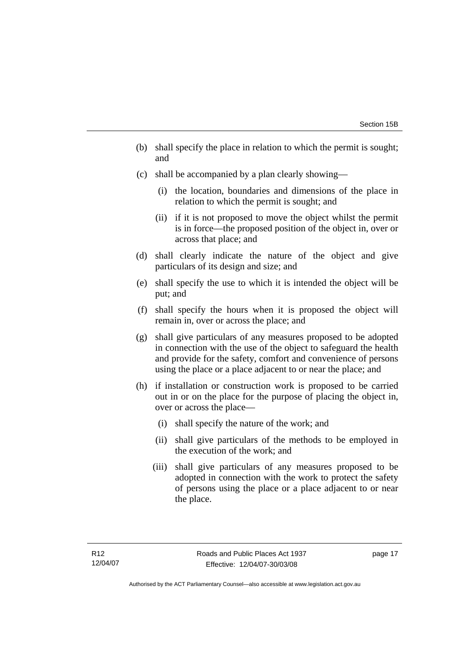- (b) shall specify the place in relation to which the permit is sought; and
- (c) shall be accompanied by a plan clearly showing—
	- (i) the location, boundaries and dimensions of the place in relation to which the permit is sought; and
	- (ii) if it is not proposed to move the object whilst the permit is in force—the proposed position of the object in, over or across that place; and
- (d) shall clearly indicate the nature of the object and give particulars of its design and size; and
- (e) shall specify the use to which it is intended the object will be put; and
- (f) shall specify the hours when it is proposed the object will remain in, over or across the place; and
- (g) shall give particulars of any measures proposed to be adopted in connection with the use of the object to safeguard the health and provide for the safety, comfort and convenience of persons using the place or a place adjacent to or near the place; and
- (h) if installation or construction work is proposed to be carried out in or on the place for the purpose of placing the object in, over or across the place—
	- (i) shall specify the nature of the work; and
	- (ii) shall give particulars of the methods to be employed in the execution of the work; and
	- (iii) shall give particulars of any measures proposed to be adopted in connection with the work to protect the safety of persons using the place or a place adjacent to or near the place.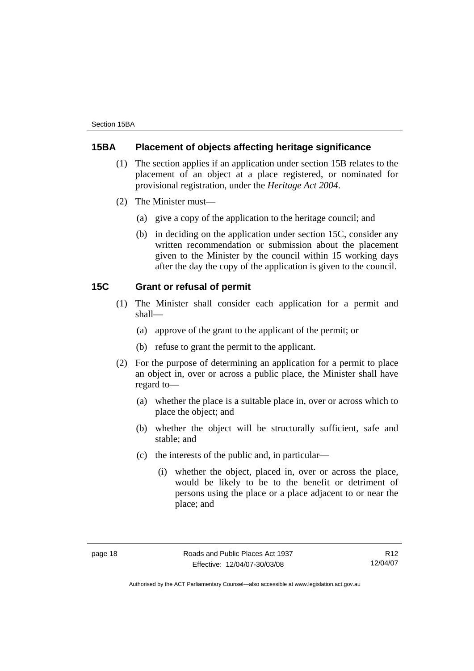## <span id="page-23-0"></span>**15BA Placement of objects affecting heritage significance**

- (1) The section applies if an application under section 15B relates to the placement of an object at a place registered, or nominated for provisional registration, under the *Heritage Act 2004*.
- (2) The Minister must—
	- (a) give a copy of the application to the heritage council; and
	- (b) in deciding on the application under section 15C, consider any written recommendation or submission about the placement given to the Minister by the council within 15 working days after the day the copy of the application is given to the council.

#### **15C Grant or refusal of permit**

- (1) The Minister shall consider each application for a permit and shall—
	- (a) approve of the grant to the applicant of the permit; or
	- (b) refuse to grant the permit to the applicant.
- (2) For the purpose of determining an application for a permit to place an object in, over or across a public place, the Minister shall have regard to—
	- (a) whether the place is a suitable place in, over or across which to place the object; and
	- (b) whether the object will be structurally sufficient, safe and stable; and
	- (c) the interests of the public and, in particular—
		- (i) whether the object, placed in, over or across the place, would be likely to be to the benefit or detriment of persons using the place or a place adjacent to or near the place; and

R12 12/04/07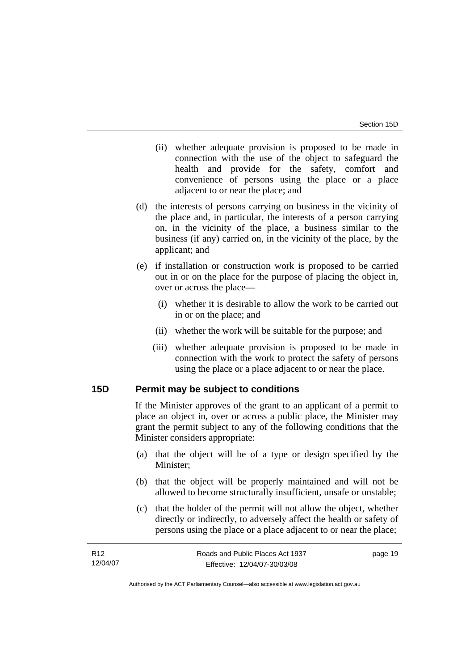- <span id="page-24-0"></span> (ii) whether adequate provision is proposed to be made in connection with the use of the object to safeguard the health and provide for the safety, comfort and convenience of persons using the place or a place adjacent to or near the place; and
- (d) the interests of persons carrying on business in the vicinity of the place and, in particular, the interests of a person carrying on, in the vicinity of the place, a business similar to the business (if any) carried on, in the vicinity of the place, by the applicant; and
- (e) if installation or construction work is proposed to be carried out in or on the place for the purpose of placing the object in, over or across the place—
	- (i) whether it is desirable to allow the work to be carried out in or on the place; and
	- (ii) whether the work will be suitable for the purpose; and
	- (iii) whether adequate provision is proposed to be made in connection with the work to protect the safety of persons using the place or a place adjacent to or near the place.

#### **15D Permit may be subject to conditions**

If the Minister approves of the grant to an applicant of a permit to place an object in, over or across a public place, the Minister may grant the permit subject to any of the following conditions that the Minister considers appropriate:

- (a) that the object will be of a type or design specified by the Minister;
- (b) that the object will be properly maintained and will not be allowed to become structurally insufficient, unsafe or unstable;
- (c) that the holder of the permit will not allow the object, whether directly or indirectly, to adversely affect the health or safety of persons using the place or a place adjacent to or near the place;

| R <sub>12</sub> | Roads and Public Places Act 1937 | page 19 |
|-----------------|----------------------------------|---------|
| 12/04/07        | Effective: 12/04/07-30/03/08     |         |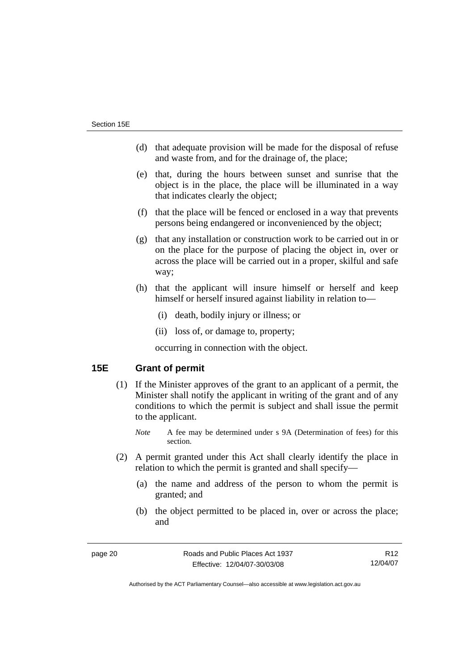- <span id="page-25-0"></span> (d) that adequate provision will be made for the disposal of refuse and waste from, and for the drainage of, the place;
- (e) that, during the hours between sunset and sunrise that the object is in the place, the place will be illuminated in a way that indicates clearly the object;
- (f) that the place will be fenced or enclosed in a way that prevents persons being endangered or inconvenienced by the object;
- (g) that any installation or construction work to be carried out in or on the place for the purpose of placing the object in, over or across the place will be carried out in a proper, skilful and safe way;
- (h) that the applicant will insure himself or herself and keep himself or herself insured against liability in relation to—
	- (i) death, bodily injury or illness; or
	- (ii) loss of, or damage to, property;

occurring in connection with the object.

## **15E Grant of permit**

- (1) If the Minister approves of the grant to an applicant of a permit, the Minister shall notify the applicant in writing of the grant and of any conditions to which the permit is subject and shall issue the permit to the applicant.
	- *Note* A fee may be determined under s 9A (Determination of fees) for this section.
- (2) A permit granted under this Act shall clearly identify the place in relation to which the permit is granted and shall specify—
	- (a) the name and address of the person to whom the permit is granted; and
	- (b) the object permitted to be placed in, over or across the place; and

R12 12/04/07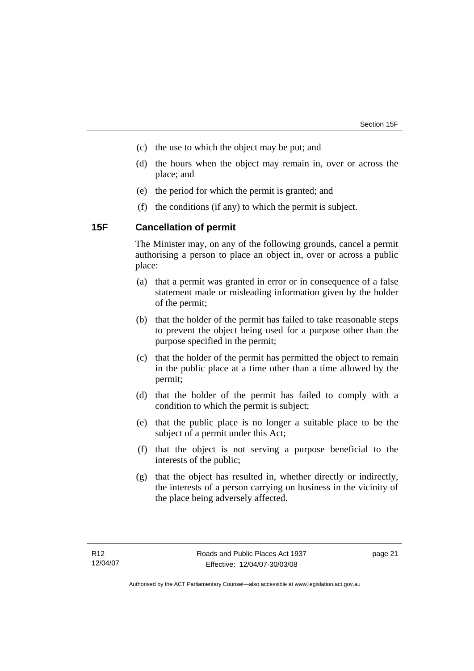- <span id="page-26-0"></span>(c) the use to which the object may be put; and
- (d) the hours when the object may remain in, over or across the place; and
- (e) the period for which the permit is granted; and
- (f) the conditions (if any) to which the permit is subject.

#### **15F Cancellation of permit**

The Minister may, on any of the following grounds, cancel a permit authorising a person to place an object in, over or across a public place:

- (a) that a permit was granted in error or in consequence of a false statement made or misleading information given by the holder of the permit;
- (b) that the holder of the permit has failed to take reasonable steps to prevent the object being used for a purpose other than the purpose specified in the permit;
- (c) that the holder of the permit has permitted the object to remain in the public place at a time other than a time allowed by the permit;
- (d) that the holder of the permit has failed to comply with a condition to which the permit is subject;
- (e) that the public place is no longer a suitable place to be the subject of a permit under this Act;
- (f) that the object is not serving a purpose beneficial to the interests of the public;
- (g) that the object has resulted in, whether directly or indirectly, the interests of a person carrying on business in the vicinity of the place being adversely affected.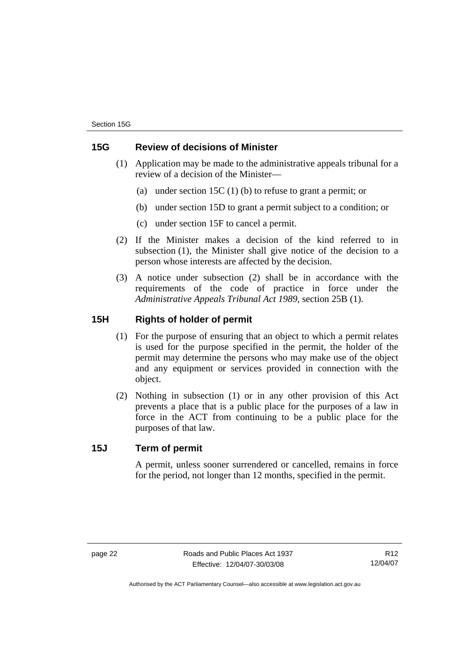## <span id="page-27-0"></span>**15G Review of decisions of Minister**

- (1) Application may be made to the administrative appeals tribunal for a review of a decision of the Minister—
	- (a) under section 15C (1) (b) to refuse to grant a permit; or
	- (b) under section 15D to grant a permit subject to a condition; or
	- (c) under section 15F to cancel a permit.
- (2) If the Minister makes a decision of the kind referred to in subsection (1), the Minister shall give notice of the decision to a person whose interests are affected by the decision.
- (3) A notice under subsection (2) shall be in accordance with the requirements of the code of practice in force under the *Administrative Appeals Tribunal Act 1989*, section 25B (1).

## **15H Rights of holder of permit**

- (1) For the purpose of ensuring that an object to which a permit relates is used for the purpose specified in the permit, the holder of the permit may determine the persons who may make use of the object and any equipment or services provided in connection with the object.
- (2) Nothing in subsection (1) or in any other provision of this Act prevents a place that is a public place for the purposes of a law in force in the ACT from continuing to be a public place for the purposes of that law.

## **15J Term of permit**

A permit, unless sooner surrendered or cancelled, remains in force for the period, not longer than 12 months, specified in the permit.

R12 12/04/07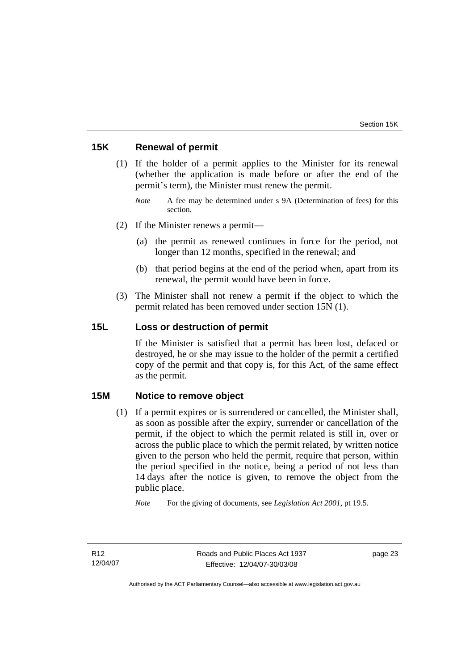## <span id="page-28-0"></span>**15K Renewal of permit**

- (1) If the holder of a permit applies to the Minister for its renewal (whether the application is made before or after the end of the permit's term), the Minister must renew the permit.
	- *Note* A fee may be determined under s 9A (Determination of fees) for this section.
- (2) If the Minister renews a permit—
	- (a) the permit as renewed continues in force for the period, not longer than 12 months, specified in the renewal; and
	- (b) that period begins at the end of the period when, apart from its renewal, the permit would have been in force.
- (3) The Minister shall not renew a permit if the object to which the permit related has been removed under section 15N (1).

## **15L Loss or destruction of permit**

If the Minister is satisfied that a permit has been lost, defaced or destroyed, he or she may issue to the holder of the permit a certified copy of the permit and that copy is, for this Act, of the same effect as the permit.

#### **15M Notice to remove object**

 (1) If a permit expires or is surrendered or cancelled, the Minister shall, as soon as possible after the expiry, surrender or cancellation of the permit, if the object to which the permit related is still in, over or across the public place to which the permit related, by written notice given to the person who held the permit, require that person, within the period specified in the notice, being a period of not less than 14 days after the notice is given, to remove the object from the public place.

*Note* For the giving of documents, see *Legislation Act 2001*, pt 19.5.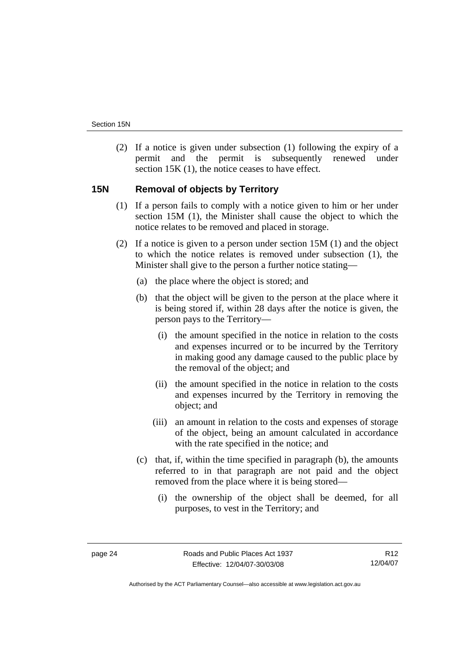<span id="page-29-0"></span> (2) If a notice is given under subsection (1) following the expiry of a permit and the permit is subsequently renewed under section 15K (1), the notice ceases to have effect.

## **15N Removal of objects by Territory**

- (1) If a person fails to comply with a notice given to him or her under section 15M (1), the Minister shall cause the object to which the notice relates to be removed and placed in storage.
- (2) If a notice is given to a person under section 15M (1) and the object to which the notice relates is removed under subsection (1), the Minister shall give to the person a further notice stating—
	- (a) the place where the object is stored; and
	- (b) that the object will be given to the person at the place where it is being stored if, within 28 days after the notice is given, the person pays to the Territory—
		- (i) the amount specified in the notice in relation to the costs and expenses incurred or to be incurred by the Territory in making good any damage caused to the public place by the removal of the object; and
		- (ii) the amount specified in the notice in relation to the costs and expenses incurred by the Territory in removing the object; and
		- (iii) an amount in relation to the costs and expenses of storage of the object, being an amount calculated in accordance with the rate specified in the notice; and
	- (c) that, if, within the time specified in paragraph (b), the amounts referred to in that paragraph are not paid and the object removed from the place where it is being stored—
		- (i) the ownership of the object shall be deemed, for all purposes, to vest in the Territory; and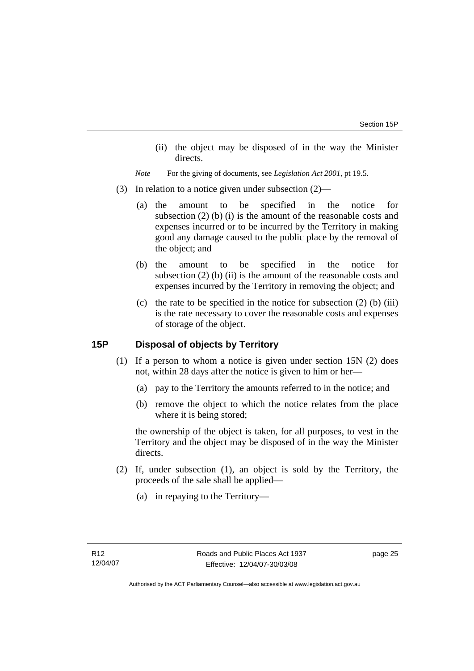<span id="page-30-0"></span> (ii) the object may be disposed of in the way the Minister directs.

*Note* For the giving of documents, see *Legislation Act 2001*, pt 19.5.

- (3) In relation to a notice given under subsection (2)—
	- (a) the amount to be specified in the notice for subsection (2) (b) (i) is the amount of the reasonable costs and expenses incurred or to be incurred by the Territory in making good any damage caused to the public place by the removal of the object; and
	- (b) the amount to be specified in the notice for subsection (2) (b) (ii) is the amount of the reasonable costs and expenses incurred by the Territory in removing the object; and
	- (c) the rate to be specified in the notice for subsection  $(2)$  (b) (iii) is the rate necessary to cover the reasonable costs and expenses of storage of the object.

## **15P Disposal of objects by Territory**

- (1) If a person to whom a notice is given under section 15N (2) does not, within 28 days after the notice is given to him or her—
	- (a) pay to the Territory the amounts referred to in the notice; and
	- (b) remove the object to which the notice relates from the place where it is being stored;

the ownership of the object is taken, for all purposes, to vest in the Territory and the object may be disposed of in the way the Minister directs.

- (2) If, under subsection (1), an object is sold by the Territory, the proceeds of the sale shall be applied—
	- (a) in repaying to the Territory—

page 25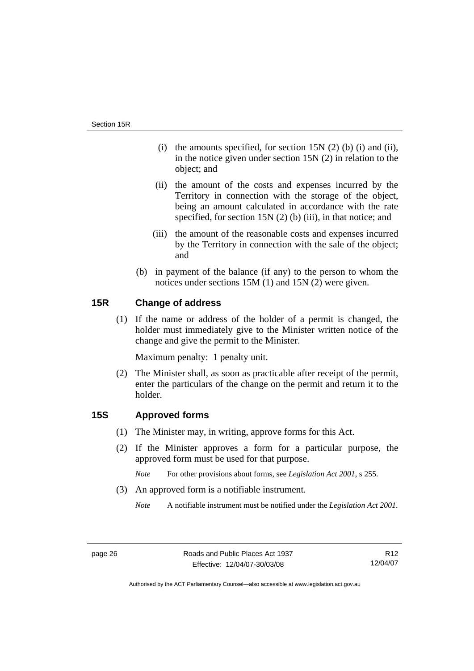- <span id="page-31-0"></span>(i) the amounts specified, for section  $15N(2)$  (b) (i) and (ii), in the notice given under section 15N (2) in relation to the object; and
- (ii) the amount of the costs and expenses incurred by the Territory in connection with the storage of the object, being an amount calculated in accordance with the rate specified, for section 15N (2) (b) (iii), in that notice; and
- (iii) the amount of the reasonable costs and expenses incurred by the Territory in connection with the sale of the object; and
- (b) in payment of the balance (if any) to the person to whom the notices under sections 15M (1) and 15N (2) were given.

## **15R Change of address**

 (1) If the name or address of the holder of a permit is changed, the holder must immediately give to the Minister written notice of the change and give the permit to the Minister.

Maximum penalty: 1 penalty unit.

 (2) The Minister shall, as soon as practicable after receipt of the permit, enter the particulars of the change on the permit and return it to the holder.

## **15S Approved forms**

- (1) The Minister may, in writing, approve forms for this Act.
- (2) If the Minister approves a form for a particular purpose, the approved form must be used for that purpose.
	- *Note* For other provisions about forms, see *Legislation Act 2001*, s 255.
- (3) An approved form is a notifiable instrument.
	- *Note* A notifiable instrument must be notified under the *Legislation Act 2001*.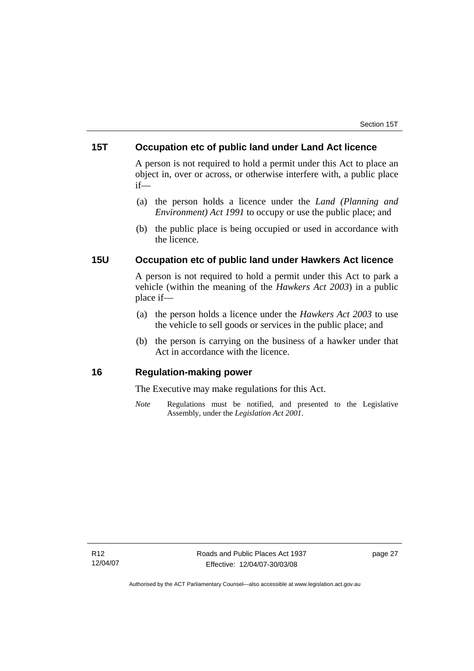## <span id="page-32-0"></span>**15T Occupation etc of public land under Land Act licence**

A person is not required to hold a permit under this Act to place an object in, over or across, or otherwise interfere with, a public place if—

- (a) the person holds a licence under the *Land (Planning and Environment) Act 1991* to occupy or use the public place; and
- (b) the public place is being occupied or used in accordance with the licence.

## **15U Occupation etc of public land under Hawkers Act licence**

A person is not required to hold a permit under this Act to park a vehicle (within the meaning of the *Hawkers Act 2003*) in a public place if—

- (a) the person holds a licence under the *Hawkers Act 2003* to use the vehicle to sell goods or services in the public place; and
- (b) the person is carrying on the business of a hawker under that Act in accordance with the licence.

## **16 Regulation-making power**

The Executive may make regulations for this Act.

*Note* Regulations must be notified, and presented to the Legislative Assembly, under the *Legislation Act 2001*.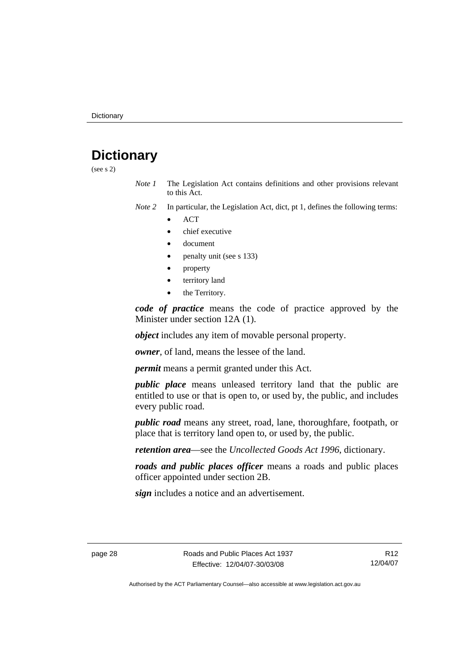## <span id="page-33-0"></span>**Dictionary**

(see s 2)

- *Note 1* The Legislation Act contains definitions and other provisions relevant to this Act.
- *Note 2* In particular, the Legislation Act, dict, pt 1, defines the following terms:
	- ACT
	- chief executive
	- document
	- penalty unit (see s 133)
	- property
	- territory land
	- the Territory.

*code of practice* means the code of practice approved by the Minister under section 12A (1).

*object* includes any item of movable personal property.

*owner*, of land, means the lessee of the land.

*permit* means a permit granted under this Act.

*public place* means unleased territory land that the public are entitled to use or that is open to, or used by, the public, and includes every public road.

*public road* means any street, road, lane, thoroughfare, footpath, or place that is territory land open to, or used by, the public.

*retention area*—see the *Uncollected Goods Act 1996*, dictionary.

*roads and public places officer* means a roads and public places officer appointed under section 2B.

*sign* includes a notice and an advertisement.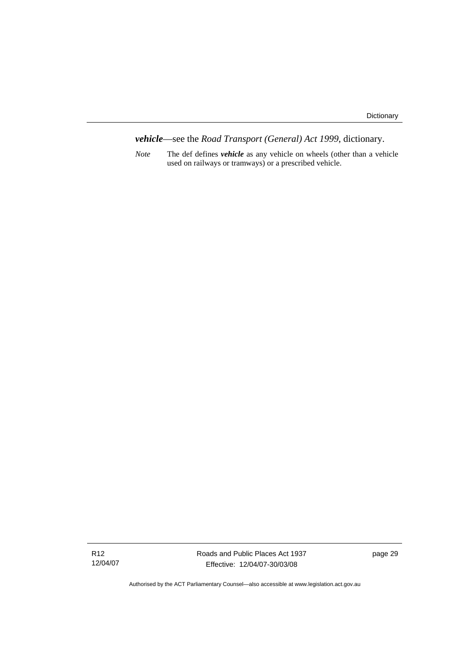*vehicle*—see the *Road Transport (General) Act 1999*, dictionary.

*Note* The def defines *vehicle* as any vehicle on wheels (other than a vehicle used on railways or tramways) or a prescribed vehicle.

Roads and Public Places Act 1937 Effective: 12/04/07-30/03/08

page 29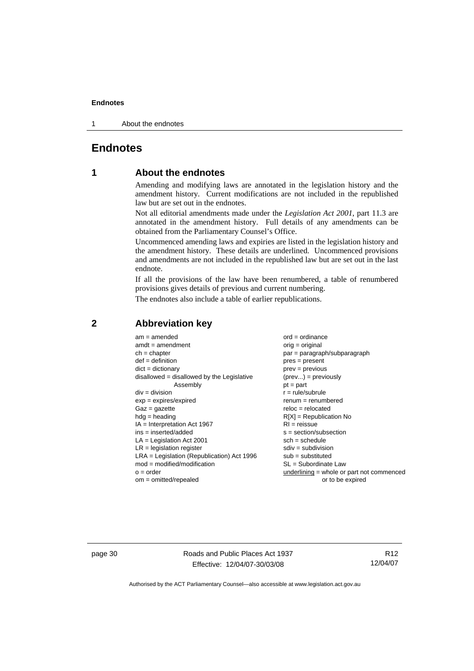<span id="page-35-0"></span>1 About the endnotes

## **Endnotes**

## **1 About the endnotes**

Amending and modifying laws are annotated in the legislation history and the amendment history. Current modifications are not included in the republished law but are set out in the endnotes.

Not all editorial amendments made under the *Legislation Act 2001*, part 11.3 are annotated in the amendment history. Full details of any amendments can be obtained from the Parliamentary Counsel's Office.

Uncommenced amending laws and expiries are listed in the legislation history and the amendment history. These details are underlined. Uncommenced provisions and amendments are not included in the republished law but are set out in the last endnote.

If all the provisions of the law have been renumbered, a table of renumbered provisions gives details of previous and current numbering.

The endnotes also include a table of earlier republications.

| $am = amended$                                                                                                                                             | $ord = ordinance$                                                                       |
|------------------------------------------------------------------------------------------------------------------------------------------------------------|-----------------------------------------------------------------------------------------|
| $amdt = amendment$                                                                                                                                         | orig = original                                                                         |
| $ch = chapter$                                                                                                                                             | par = paragraph/subparagraph                                                            |
| $def = definition$                                                                                                                                         | $pres = present$                                                                        |
| $dict = dictionary$                                                                                                                                        | $prev = previous$                                                                       |
| $disallowed = disallowed by the Legislative$                                                                                                               | $(\text{prev}) = \text{previously}$                                                     |
| Assembly                                                                                                                                                   | $pt = part$                                                                             |
| $div = division$                                                                                                                                           | $r = rule/subrule$                                                                      |
| $exp = expires/expired$                                                                                                                                    | $renum = renumbered$                                                                    |
| $Gaz = gazette$                                                                                                                                            | $reloc = relocated$                                                                     |
| $h dq =$ heading                                                                                                                                           | $R[X]$ = Republication No                                                               |
| $IA = Interpretation Act 1967$                                                                                                                             | $RI = reissue$                                                                          |
| $ins = inserted/added$                                                                                                                                     | $s = section/subsection$                                                                |
| $LA =$ Legislation Act 2001<br>$LR =$ legislation register<br>$LRA =$ Legislation (Republication) Act 1996<br>$mod = modified/modification$<br>$o = order$ | $sch = schedule$<br>$sdiv = subdivision$<br>$sub =$ substituted<br>SL = Subordinate Law |
| $om = omitted/repealed$                                                                                                                                    | underlining = whole or part not commenced<br>or to be expired                           |

### **2 Abbreviation key**

page 30 Roads and Public Places Act 1937 Effective: 12/04/07-30/03/08

R12 12/04/07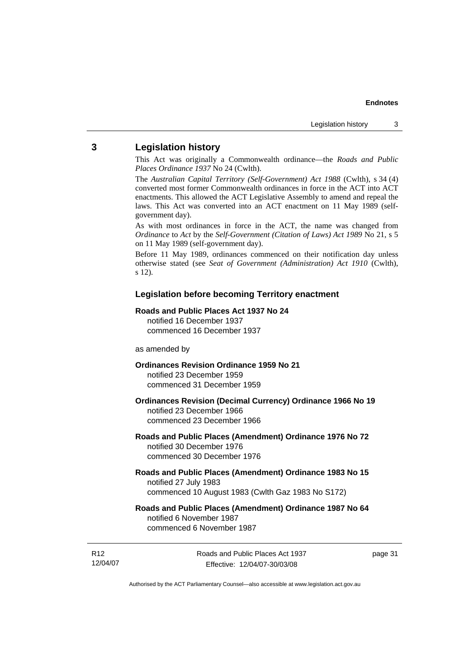## <span id="page-36-0"></span>**3 Legislation history**

This Act was originally a Commonwealth ordinance—the *Roads and Public Places Ordinance 1937* No 24 (Cwlth).

The *Australian Capital Territory (Self-Government) Act 1988* (Cwlth), s 34 (4) converted most former Commonwealth ordinances in force in the ACT into ACT enactments. This allowed the ACT Legislative Assembly to amend and repeal the laws. This Act was converted into an ACT enactment on 11 May 1989 (selfgovernment day).

As with most ordinances in force in the ACT, the name was changed from *Ordinance* to *Act* by the *Self-Government (Citation of Laws) Act 1989* No 21, s 5 on 11 May 1989 (self-government day).

Before 11 May 1989, ordinances commenced on their notification day unless otherwise stated (see *Seat of Government (Administration) Act 1910* (Cwlth), s 12).

#### **Legislation before becoming Territory enactment**

#### **Roads and Public Places Act 1937 No 24**

notified 16 December 1937 commenced 16 December 1937

#### as amended by

#### **Ordinances Revision Ordinance 1959 No 21**  notified 23 December 1959

commenced 31 December 1959

#### **Ordinances Revision (Decimal Currency) Ordinance 1966 No 19**  notified 23 December 1966 commenced 23 December 1966

#### **Roads and Public Places (Amendment) Ordinance 1976 No 72**  notified 30 December 1976 commenced 30 December 1976

#### **Roads and Public Places (Amendment) Ordinance 1983 No 15**  notified 27 July 1983 commenced 10 August 1983 (Cwlth Gaz 1983 No S172)

#### **Roads and Public Places (Amendment) Ordinance 1987 No 64**  notified 6 November 1987 commenced 6 November 1987

R12 12/04/07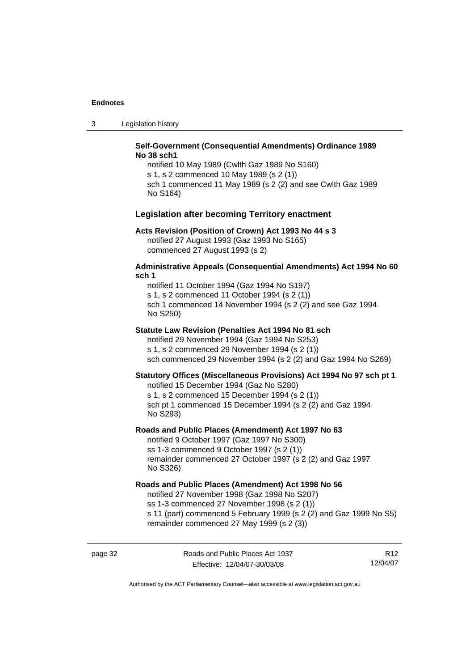3 Legislation history

#### **Self-Government (Consequential Amendments) Ordinance 1989 No 38 sch1**

notified 10 May 1989 (Cwlth Gaz 1989 No S160) s 1, s 2 commenced 10 May 1989 (s 2 (1)) sch 1 commenced 11 May 1989 (s 2 (2) and see Cwlth Gaz 1989 No S164)

#### **Legislation after becoming Territory enactment**

#### **Acts Revision (Position of Crown) Act 1993 No 44 s 3**

notified 27 August 1993 (Gaz 1993 No S165) commenced 27 August 1993 (s 2)

#### **Administrative Appeals (Consequential Amendments) Act 1994 No 60 sch 1**

notified 11 October 1994 (Gaz 1994 No S197) s 1, s 2 commenced 11 October 1994 (s 2 (1)) sch 1 commenced 14 November 1994 (s 2 (2) and see Gaz 1994 No S250)

#### **Statute Law Revision (Penalties Act 1994 No 81 sch**

notified 29 November 1994 (Gaz 1994 No S253) s 1, s 2 commenced 29 November 1994 (s 2 (1)) sch commenced 29 November 1994 (s 2 (2) and Gaz 1994 No S269)

#### **Statutory Offices (Miscellaneous Provisions) Act 1994 No 97 sch pt 1**

notified 15 December 1994 (Gaz No S280) s 1, s 2 commenced 15 December 1994 (s 2 (1)) sch pt 1 commenced 15 December 1994 (s 2 (2) and Gaz 1994 No S293)

#### **Roads and Public Places (Amendment) Act 1997 No 63**

notified 9 October 1997 (Gaz 1997 No S300) ss 1-3 commenced 9 October 1997 (s 2 (1)) remainder commenced 27 October 1997 (s 2 (2) and Gaz 1997 No S326)

#### **Roads and Public Places (Amendment) Act 1998 No 56**

notified 27 November 1998 (Gaz 1998 No S207) ss 1-3 commenced 27 November 1998 (s 2 (1)) s 11 (part) commenced 5 February 1999 (s 2 (2) and Gaz 1999 No S5) remainder commenced 27 May 1999 (s 2 (3))

page 32 Roads and Public Places Act 1937 Effective: 12/04/07-30/03/08

R12 12/04/07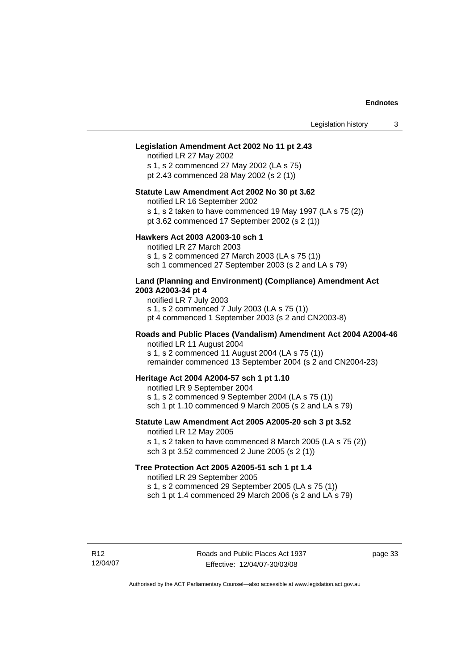#### **Legislation Amendment Act 2002 No 11 pt 2.43**

notified LR 27 May 2002 s 1, s 2 commenced 27 May 2002 (LA s 75) pt 2.43 commenced 28 May 2002 (s 2 (1))

#### **Statute Law Amendment Act 2002 No 30 pt 3.62**

notified LR 16 September 2002

s 1, s 2 taken to have commenced 19 May 1997 (LA s 75 (2))

pt 3.62 commenced 17 September 2002 (s 2 (1))

#### **Hawkers Act 2003 A2003-10 sch 1**

notified LR 27 March 2003 s 1, s 2 commenced 27 March 2003 (LA s 75 (1)) sch 1 commenced 27 September 2003 (s 2 and LA s 79)

#### **Land (Planning and Environment) (Compliance) Amendment Act 2003 A2003-34 pt 4**

notified LR 7 July 2003 s 1, s 2 commenced 7 July 2003 (LA s 75 (1)) pt 4 commenced 1 September 2003 (s 2 and CN2003-8)

#### **Roads and Public Places (Vandalism) Amendment Act 2004 A2004-46**  notified LR 11 August 2004

s 1, s 2 commenced 11 August 2004 (LA s 75 (1))

remainder commenced 13 September 2004 (s 2 and CN2004-23)

#### **Heritage Act 2004 A2004-57 sch 1 pt 1.10**

notified LR 9 September 2004 s 1, s 2 commenced 9 September 2004 (LA s 75 (1)) sch 1 pt 1.10 commenced 9 March 2005 (s 2 and LA s 79)

## **Statute Law Amendment Act 2005 A2005-20 sch 3 pt 3.52**

notified LR 12 May 2005

s 1, s 2 taken to have commenced 8 March 2005 (LA s 75 (2)) sch 3 pt 3.52 commenced 2 June 2005 (s 2 (1))

#### **Tree Protection Act 2005 A2005-51 sch 1 pt 1.4**

notified LR 29 September 2005

s 1, s 2 commenced 29 September 2005 (LA s 75 (1))

sch 1 pt 1.4 commenced 29 March 2006 (s 2 and  $LA$  s 79)

page 33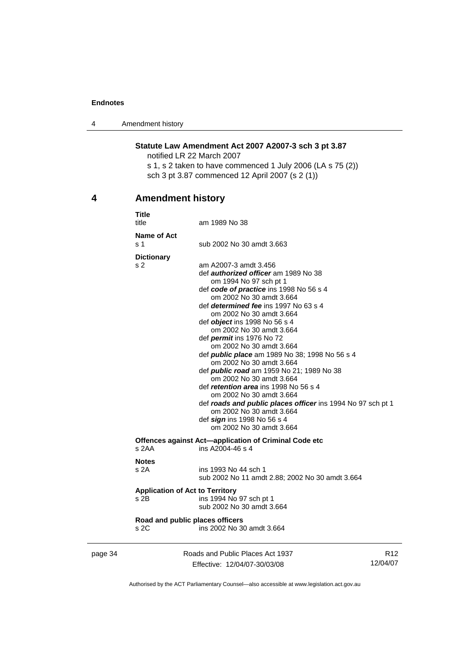<span id="page-39-0"></span>4 Amendment history

## **Statute Law Amendment Act 2007 A2007-3 sch 3 pt 3.87**

notified LR 22 March 2007

s 1, s 2 taken to have commenced 1 July 2006 (LA s 75 (2)) sch 3 pt 3.87 commenced 12 April 2007 (s 2 (1))

## **4 Amendment history**

|   | <b>Title</b><br>title                              | am 1989 No 38                                                                                                                                                                                                                                                                                                                                                                                                                                                                                                                                                                                                                                                                                                                                                                  |               |
|---|----------------------------------------------------|--------------------------------------------------------------------------------------------------------------------------------------------------------------------------------------------------------------------------------------------------------------------------------------------------------------------------------------------------------------------------------------------------------------------------------------------------------------------------------------------------------------------------------------------------------------------------------------------------------------------------------------------------------------------------------------------------------------------------------------------------------------------------------|---------------|
|   | Name of Act<br>s 1                                 | sub 2002 No 30 amdt 3.663                                                                                                                                                                                                                                                                                                                                                                                                                                                                                                                                                                                                                                                                                                                                                      |               |
|   | <b>Dictionary</b><br>s 2                           | am A2007-3 amdt 3.456<br>def <i>authorized officer</i> am 1989 No 38<br>om 1994 No 97 sch pt 1<br>def code of practice ins 1998 No 56 s 4<br>om 2002 No 30 amdt 3.664<br>def determined fee ins 1997 No 63 s 4<br>om 2002 No 30 amdt 3.664<br>def object ins 1998 No 56 s 4<br>om 2002 No 30 amdt 3.664<br>def <i>permit</i> ins 1976 No 72<br>om 2002 No 30 amdt 3.664<br>def <i>public place</i> am 1989 No 38; 1998 No 56 s 4<br>om 2002 No 30 amdt 3.664<br>def <i>public road</i> am 1959 No 21; 1989 No 38<br>om 2002 No 30 amdt 3.664<br>def <i>retention area</i> ins 1998 No 56 s 4<br>om 2002 No 30 amdt 3.664<br>def roads and public places officer ins 1994 No 97 sch pt 1<br>om 2002 No 30 amdt 3.664<br>def sign ins 1998 No 56 s 4<br>om 2002 No 30 amdt 3.664 |               |
|   | s 2AA                                              | Offences against Act-application of Criminal Code etc<br>ins A2004-46 s 4                                                                                                                                                                                                                                                                                                                                                                                                                                                                                                                                                                                                                                                                                                      |               |
|   | <b>Notes</b><br>s2A                                | ins 1993 No 44 sch 1<br>sub 2002 No 11 amdt 2.88; 2002 No 30 amdt 3.664                                                                                                                                                                                                                                                                                                                                                                                                                                                                                                                                                                                                                                                                                                        |               |
|   | <b>Application of Act to Territory</b><br>$s$ 2B   | ins 1994 No 97 sch pt 1<br>sub 2002 No 30 amdt 3.664                                                                                                                                                                                                                                                                                                                                                                                                                                                                                                                                                                                                                                                                                                                           |               |
|   | Road and public places officers<br>s <sub>2C</sub> | ins 2002 No 30 amdt 3.664                                                                                                                                                                                                                                                                                                                                                                                                                                                                                                                                                                                                                                                                                                                                                      |               |
| 1 |                                                    | Roads and Public Places Act 1937                                                                                                                                                                                                                                                                                                                                                                                                                                                                                                                                                                                                                                                                                                                                               | R1:<br>10/210 |

| page 34 | Roads and Public Places Act 1937 | R12      |
|---------|----------------------------------|----------|
|         | Effective: 12/04/07-30/03/08     | 12/04/07 |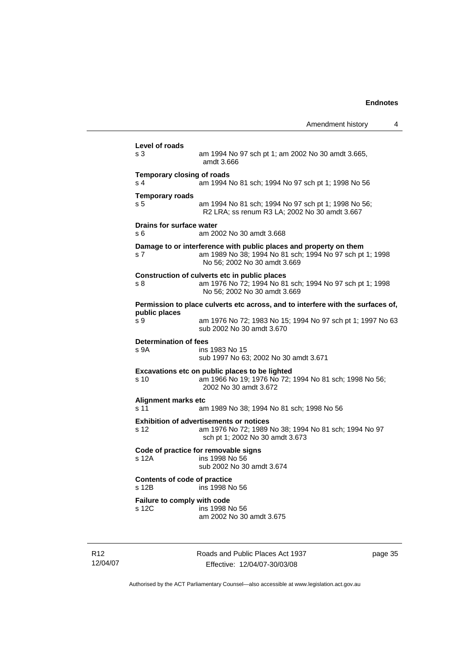|                                                     | Amendment history                                                                                                                                             | 4 |
|-----------------------------------------------------|---------------------------------------------------------------------------------------------------------------------------------------------------------------|---|
| Level of roads                                      |                                                                                                                                                               |   |
| s <sub>3</sub>                                      | am 1994 No 97 sch pt 1; am 2002 No 30 amdt 3.665,<br>amdt 3.666                                                                                               |   |
| <b>Temporary closing of roads</b><br>s <sub>4</sub> | am 1994 No 81 sch; 1994 No 97 sch pt 1; 1998 No 56                                                                                                            |   |
| <b>Temporary roads</b><br>s <sub>5</sub>            | am 1994 No 81 sch; 1994 No 97 sch pt 1; 1998 No 56;<br>R2 LRA; ss renum R3 LA; 2002 No 30 amdt 3.667                                                          |   |
| Drains for surface water<br>s 6                     | am 2002 No 30 amdt 3.668                                                                                                                                      |   |
| s 7                                                 | Damage to or interference with public places and property on them<br>am 1989 No 38; 1994 No 81 sch; 1994 No 97 sch pt 1; 1998<br>No 56; 2002 No 30 amdt 3.669 |   |
| s 8                                                 | Construction of culverts etc in public places<br>am 1976 No 72; 1994 No 81 sch; 1994 No 97 sch pt 1; 1998<br>No 56; 2002 No 30 amdt 3.669                     |   |
| public places                                       | Permission to place culverts etc across, and to interfere with the surfaces of,                                                                               |   |
| s 9                                                 | am 1976 No 72; 1983 No 15; 1994 No 97 sch pt 1; 1997 No 63<br>sub 2002 No 30 amdt 3.670                                                                       |   |
| <b>Determination of fees</b><br>s 9A                | ins 1983 No 15<br>sub 1997 No 63; 2002 No 30 amdt 3.671                                                                                                       |   |
| s 10                                                | Excavations etc on public places to be lighted<br>am 1966 No 19; 1976 No 72; 1994 No 81 sch; 1998 No 56;<br>2002 No 30 amdt 3.672                             |   |
| Alignment marks etc<br>s 11                         | am 1989 No 38; 1994 No 81 sch; 1998 No 56                                                                                                                     |   |
| s <sub>12</sub>                                     | <b>Exhibition of advertisements or notices</b><br>am 1976 No 72; 1989 No 38; 1994 No 81 sch; 1994 No 97<br>sch pt 1; 2002 No 30 amdt 3.673                    |   |
| Code of practice for removable signs<br>s 12A       | ins 1998 No 56<br>sub 2002 No 30 amdt 3.674                                                                                                                   |   |
| <b>Contents of code of practice</b><br>s 12B        | ins 1998 No 56                                                                                                                                                |   |
| Failure to comply with code<br>s 12C                | ins 1998 No 56<br>am 2002 No 30 amdt 3.675                                                                                                                    |   |
|                                                     |                                                                                                                                                               |   |

R12 12/04/07 Roads and Public Places Act 1937 Effective: 12/04/07-30/03/08

page 35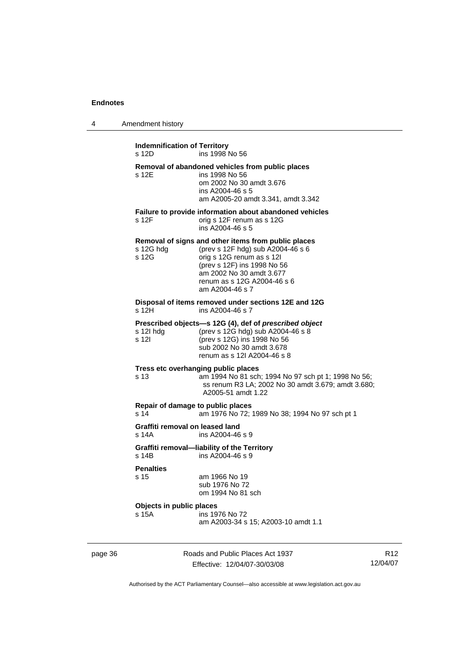| Amendment history |
|-------------------|
|                   |

| Removal of abandoned vehicles from public places<br>s 12E<br>ins 1998 No 56<br>om 2002 No 30 amdt 3.676<br>ins A2004-46 s 5<br>am A2005-20 amdt 3.341, amdt 3.342<br>Failure to provide information about abandoned vehicles                             |  |
|----------------------------------------------------------------------------------------------------------------------------------------------------------------------------------------------------------------------------------------------------------|--|
|                                                                                                                                                                                                                                                          |  |
| s 12F<br>orig s 12F renum as s 12G<br>ins A2004-46 s 5                                                                                                                                                                                                   |  |
| Removal of signs and other items from public places<br>(prev s 12F hdg) sub A2004-46 s 6<br>s 12G hdg<br>s 12G<br>orig s 12G renum as s 12l<br>(prev s 12F) ins 1998 No 56<br>am 2002 No 30 amdt 3.677<br>renum as s 12G A2004-46 s 6<br>am A2004-46 s 7 |  |
| Disposal of items removed under sections 12E and 12G<br>ins A2004-46 s 7<br>s 12H                                                                                                                                                                        |  |
| Prescribed objects-s 12G (4), def of prescribed object<br>(prev s 12G hdg) sub A2004-46 s 8<br>s 12l hdg<br>s 12l<br>(prev s 12G) ins 1998 No 56<br>sub 2002 No 30 amdt 3.678<br>renum as s 12l A2004-46 s 8                                             |  |
| Tress etc overhanging public places<br>am 1994 No 81 sch; 1994 No 97 sch pt 1; 1998 No 56;<br>s 13<br>ss renum R3 LA; 2002 No 30 amdt 3.679; amdt 3.680;<br>A2005-51 amdt 1.22                                                                           |  |
| Repair of damage to public places<br>s 14<br>am 1976 No 72; 1989 No 38; 1994 No 97 sch pt 1                                                                                                                                                              |  |
| Graffiti removal on leased land<br>s 14A<br>ins A2004-46 s 9                                                                                                                                                                                             |  |
| Graffiti removal-liability of the Territory<br>ins A2004-46 s 9<br>s 14B                                                                                                                                                                                 |  |
| <b>Penalties</b><br>s 15<br>am 1966 No 19<br>sub 1976 No 72<br>om 1994 No 81 sch                                                                                                                                                                         |  |
| Objects in public places<br>s 15A<br>ins 1976 No 72<br>am A2003-34 s 15; A2003-10 amdt 1.1                                                                                                                                                               |  |

page 36 Roads and Public Places Act 1937 Effective: 12/04/07-30/03/08

R12 12/04/07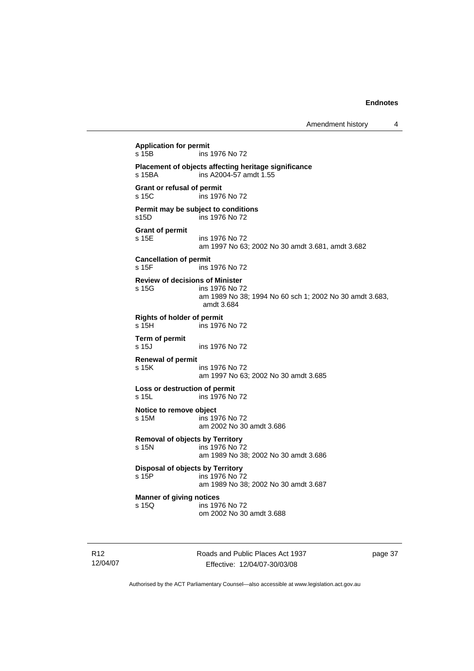```
Application for permit 
                 ins 1976 No 72
Placement of objects affecting heritage significance 
s 15BA ins A2004-57 amdt 1.55 
Grant or refusal of permit 
                 ins 1976 No 72
Permit may be subject to conditions 
s15D ins 1976 No 72 
Grant of permit 
s 15E ins 1976 No 72 
                  am 1997 No 63; 2002 No 30 amdt 3.681, amdt 3.682 
Cancellation of permit 
s 15F ins 1976 No 72 
Review of decisions of Minister 
s 15G ins 1976 No 72 
                  am 1989 No 38; 1994 No 60 sch 1; 2002 No 30 amdt 3.683, 
                  amdt 3.684 
Rights of holder of permit 
s 15H ins 1976 No 72 
Term of permit 
                 ins 1976 No 72
Renewal of permit 
s 15K ins 1976 No 72 
                  am 1997 No 63; 2002 No 30 amdt 3.685 
Loss or destruction of permit 
s 15L ins 1976 No 72 
Notice to remove object 
s 15M ins 1976 No 72 
                  am 2002 No 30 amdt 3.686 
Removal of objects by Territory 
s 15N ins 1976 No 72 
                  am 1989 No 38; 2002 No 30 amdt 3.686 
Disposal of objects by Territory<br>
s 15P ins 1976 No 7
                 ins 1976 No 72
                  am 1989 No 38; 2002 No 30 amdt 3.687 
Manner of giving notices 
s 15Q ins 1976 No 72 
                  om 2002 No 30 amdt 3.688
```
R12 12/04/07 Roads and Public Places Act 1937 Effective: 12/04/07-30/03/08

page 37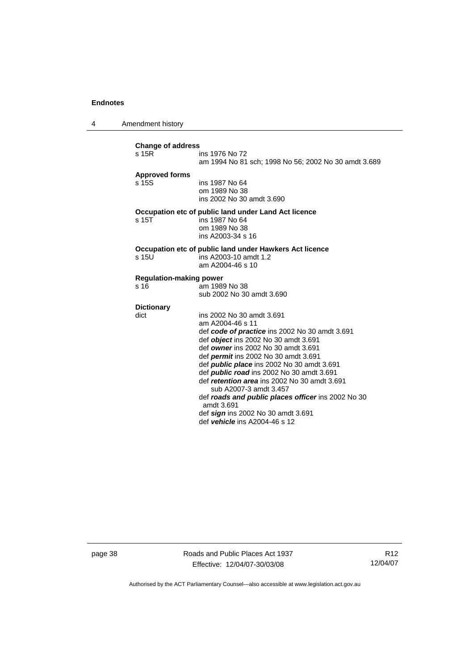4 Amendment history

| <b>Change of address</b>                                         |                                                                                                       |  |
|------------------------------------------------------------------|-------------------------------------------------------------------------------------------------------|--|
| s 15R                                                            | ins 1976 No 72                                                                                        |  |
|                                                                  | am 1994 No 81 sch; 1998 No 56; 2002 No 30 amdt 3.689                                                  |  |
| <b>Approved forms</b>                                            |                                                                                                       |  |
| s 15S                                                            | ins 1987 No 64                                                                                        |  |
|                                                                  | om 1989 No 38                                                                                         |  |
|                                                                  | ins 2002 No 30 amdt 3.690                                                                             |  |
| Occupation etc of public land under Land Act licence             |                                                                                                       |  |
| s <sub>15T</sub>                                                 | ins 1987 No 64                                                                                        |  |
|                                                                  | om 1989 No 38                                                                                         |  |
|                                                                  | ins A2003-34 s 16                                                                                     |  |
| Occupation etc of public land under Hawkers Act licence          |                                                                                                       |  |
| s 15U                                                            | ins A2003-10 amdt 1.2                                                                                 |  |
|                                                                  | am A2004-46 s 10                                                                                      |  |
| <b>Regulation-making power</b>                                   |                                                                                                       |  |
| s 16                                                             | am 1989 No 38                                                                                         |  |
|                                                                  | sub 2002 No 30 amdt 3.690                                                                             |  |
| <b>Dictionary</b>                                                |                                                                                                       |  |
| dict                                                             | ins 2002 No 30 amdt 3.691                                                                             |  |
|                                                                  | am A2004-46 s 11                                                                                      |  |
|                                                                  | def code of practice ins 2002 No 30 amdt 3.691                                                        |  |
|                                                                  | def <i>object</i> ins 2002 No 30 amdt 3.691                                                           |  |
|                                                                  | def owner ins 2002 No 30 amdt 3.691                                                                   |  |
|                                                                  | def <i>permit</i> ins 2002 No 30 amdt 3.691                                                           |  |
|                                                                  | def <i>public place</i> ins 2002 No 30 amdt 3.691<br>def <i>public road</i> ins 2002 No 30 amdt 3.691 |  |
|                                                                  | def retention area ins 2002 No 30 amdt 3.691                                                          |  |
|                                                                  | sub A2007-3 amdt 3.457                                                                                |  |
| def roads and public places officer ins 2002 No 30<br>amdt 3.691 |                                                                                                       |  |
|                                                                  |                                                                                                       |  |
|                                                                  | def vehicle ins A2004-46 s 12                                                                         |  |

page 38 Roads and Public Places Act 1937 Effective: 12/04/07-30/03/08

R12 12/04/07